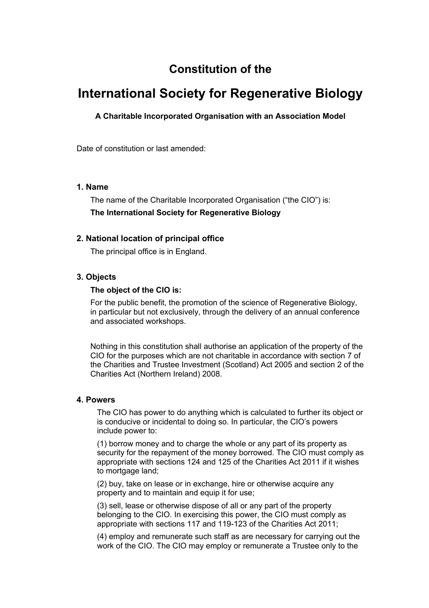# **Constitution of the**

# **International Society for Regenerative Biology**

# **A Charitable Incorporated Organisation with an Association Model**

Date of constitution or last amended:

### **1. Name**

The name of the Charitable Incorporated Organisation ("the CIO") is: **The International Society for Regenerative Biology**

### **2. National location of principal office**

The principal office is in England.

### **3. Objects**

### **The object of the CIO is:**

For the public benefit, the promotion of the science of Regenerative Biology, in particular but not exclusively, through the delivery of an annual conference and associated workshops.

Nothing in this constitution shall authorise an application of the property of the CIO for the purposes which are not charitable in accordance with section 7 of the Charities and Trustee Investment (Scotland) Act 2005 and section 2 of the Charities Act (Northern Ireland) 2008.

### **4. Powers**

The CIO has power to do anything which is calculated to further its object or is conducive or incidental to doing so. In particular, the CIO's powers include power to:

(1) borrow money and to charge the whole or any part of its property as security for the repayment of the money borrowed. The CIO must comply as appropriate with sections 124 and 125 of the Charities Act 2011 if it wishes to mortgage land;

(2) buy, take on lease or in exchange, hire or otherwise acquire any property and to maintain and equip it for use;

(3) sell, lease or otherwise dispose of all or any part of the property belonging to the CIO. In exercising this power, the CIO must comply as appropriate with sections 117 and 119-123 of the Charities Act 2011;

(4) employ and remunerate such staff as are necessary for carrying out the work of the CIO. The CIO may employ or remunerate a Trustee only to the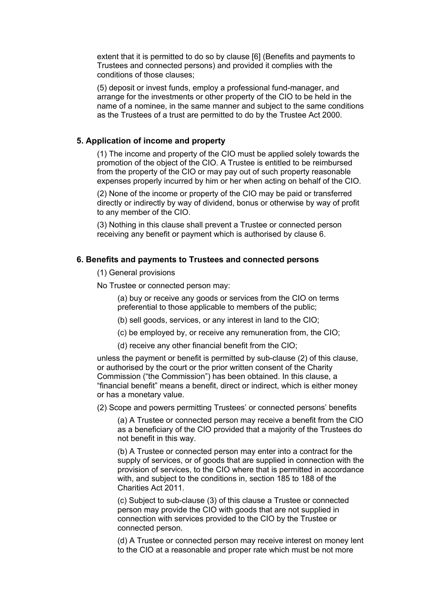extent that it is permitted to do so by clause [6] (Benefits and payments to Trustees and connected persons) and provided it complies with the conditions of those clauses;

(5) deposit or invest funds, employ a professional fund-manager, and arrange for the investments or other property of the CIO to be held in the name of a nominee, in the same manner and subject to the same conditions as the Trustees of a trust are permitted to do by the Trustee Act 2000.

### **5. Application of income and property**

(1) The income and property of the CIO must be applied solely towards the promotion of the object of the CIO. A Trustee is entitled to be reimbursed from the property of the CIO or may pay out of such property reasonable expenses properly incurred by him or her when acting on behalf of the CIO.

(2) None of the income or property of the CIO may be paid or transferred directly or indirectly by way of dividend, bonus or otherwise by way of profit to any member of the CIO.

(3) Nothing in this clause shall prevent a Trustee or connected person receiving any benefit or payment which is authorised by clause 6.

# **6. Benefits and payments to Trustees and connected persons**

(1) General provisions

No Trustee or connected person may:

(a) buy or receive any goods or services from the CIO on terms preferential to those applicable to members of the public;

- (b) sell goods, services, or any interest in land to the CIO;
- (c) be employed by, or receive any remuneration from, the CIO;
- (d) receive any other financial benefit from the CIO;

unless the payment or benefit is permitted by sub-clause (2) of this clause, or authorised by the court or the prior written consent of the Charity Commission ("the Commission") has been obtained. In this clause, a "financial benefit" means a benefit, direct or indirect, which is either money or has a monetary value.

(2) Scope and powers permitting Trustees' or connected persons' benefits

(a) A Trustee or connected person may receive a benefit from the CIO as a beneficiary of the CIO provided that a majority of the Trustees do not benefit in this way.

(b) A Trustee or connected person may enter into a contract for the supply of services, or of goods that are supplied in connection with the provision of services, to the CIO where that is permitted in accordance with, and subject to the conditions in, section 185 to 188 of the Charities Act 2011.

(c) Subject to sub-clause (3) of this clause a Trustee or connected person may provide the CIO with goods that are not supplied in connection with services provided to the CIO by the Trustee or connected person.

(d) A Trustee or connected person may receive interest on money lent to the CIO at a reasonable and proper rate which must be not more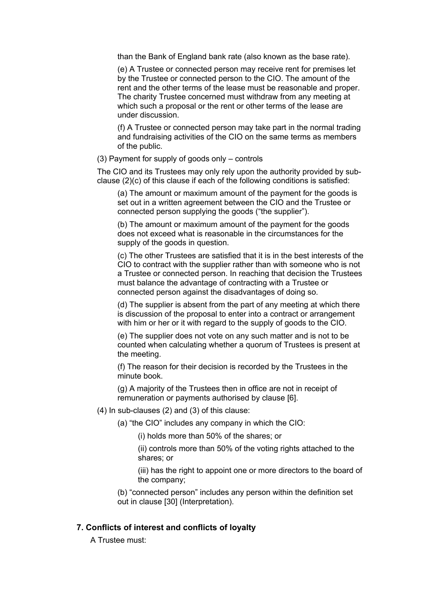than the Bank of England bank rate (also known as the base rate).

(e) A Trustee or connected person may receive rent for premises let by the Trustee or connected person to the CIO. The amount of the rent and the other terms of the lease must be reasonable and proper. The charity Trustee concerned must withdraw from any meeting at which such a proposal or the rent or other terms of the lease are under discussion.

(f) A Trustee or connected person may take part in the normal trading and fundraising activities of the CIO on the same terms as members of the public.

(3) Payment for supply of goods only – controls

The CIO and its Trustees may only rely upon the authority provided by subclause (2)(c) of this clause if each of the following conditions is satisfied:

(a) The amount or maximum amount of the payment for the goods is set out in a written agreement between the CIO and the Trustee or connected person supplying the goods ("the supplier").

(b) The amount or maximum amount of the payment for the goods does not exceed what is reasonable in the circumstances for the supply of the goods in question.

(c) The other Trustees are satisfied that it is in the best interests of the CIO to contract with the supplier rather than with someone who is not a Trustee or connected person. In reaching that decision the Trustees must balance the advantage of contracting with a Trustee or connected person against the disadvantages of doing so.

(d) The supplier is absent from the part of any meeting at which there is discussion of the proposal to enter into a contract or arrangement with him or her or it with regard to the supply of goods to the CIO.

(e) The supplier does not vote on any such matter and is not to be counted when calculating whether a quorum of Trustees is present at the meeting.

(f) The reason for their decision is recorded by the Trustees in the minute book.

(g) A majority of the Trustees then in office are not in receipt of remuneration or payments authorised by clause [6].

### (4) In sub-clauses (2) and (3) of this clause:

(a) "the CIO" includes any company in which the CIO:

(i) holds more than 50% of the shares; or

(ii) controls more than 50% of the voting rights attached to the shares; or

(iii) has the right to appoint one or more directors to the board of the company;

(b) "connected person" includes any person within the definition set out in clause [30] (Interpretation).

## **7. Conflicts of interest and conflicts of loyalty**

A Trustee must: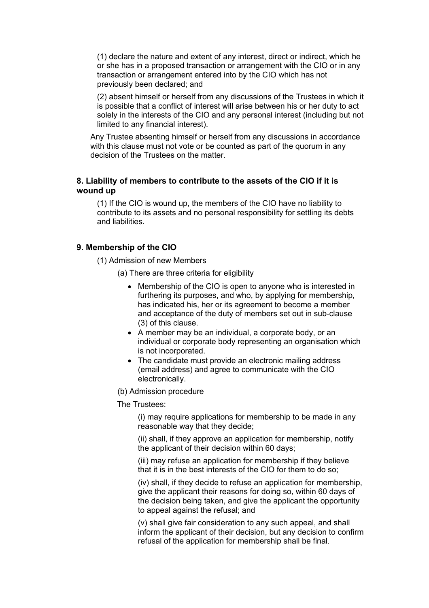(1) declare the nature and extent of any interest, direct or indirect, which he or she has in a proposed transaction or arrangement with the CIO or in any transaction or arrangement entered into by the CIO which has not previously been declared; and

(2) absent himself or herself from any discussions of the Trustees in which it is possible that a conflict of interest will arise between his or her duty to act solely in the interests of the CIO and any personal interest (including but not limited to any financial interest).

Any Trustee absenting himself or herself from any discussions in accordance with this clause must not vote or be counted as part of the quorum in any decision of the Trustees on the matter.

# **8. Liability of members to contribute to the assets of the CIO if it is wound up**

(1) If the CIO is wound up, the members of the CIO have no liability to contribute to its assets and no personal responsibility for settling its debts and liabilities.

# **9. Membership of the CIO**

(1) Admission of new Members

(a) There are three criteria for eligibility

- Membership of the CIO is open to anyone who is interested in furthering its purposes, and who, by applying for membership, has indicated his, her or its agreement to become a member and acceptance of the duty of members set out in sub-clause (3) of this clause.
- A member may be an individual, a corporate body, or an individual or corporate body representing an organisation which is not incorporated.
- The candidate must provide an electronic mailing address (email address) and agree to communicate with the CIO electronically.
- (b) Admission procedure

The Trustees:

(i) may require applications for membership to be made in any reasonable way that they decide;

(ii) shall, if they approve an application for membership, notify the applicant of their decision within 60 days;

(iii) may refuse an application for membership if they believe that it is in the best interests of the CIO for them to do so;

(iv) shall, if they decide to refuse an application for membership, give the applicant their reasons for doing so, within 60 days of the decision being taken, and give the applicant the opportunity to appeal against the refusal; and

(v) shall give fair consideration to any such appeal, and shall inform the applicant of their decision, but any decision to confirm refusal of the application for membership shall be final.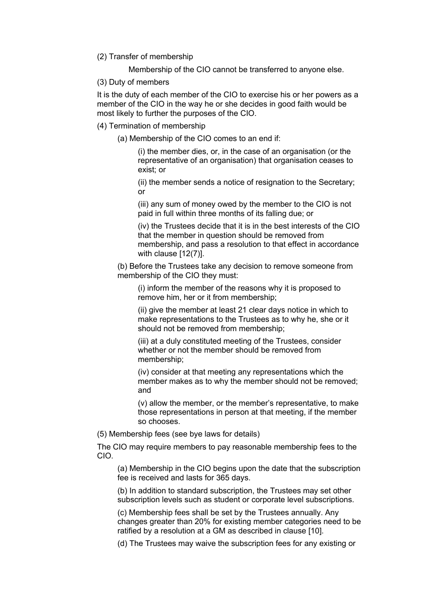(2) Transfer of membership

Membership of the CIO cannot be transferred to anyone else.

(3) Duty of members

It is the duty of each member of the CIO to exercise his or her powers as a member of the CIO in the way he or she decides in good faith would be most likely to further the purposes of the CIO.

(4) Termination of membership

(a) Membership of the CIO comes to an end if:

(i) the member dies, or, in the case of an organisation (or the representative of an organisation) that organisation ceases to exist; or

(ii) the member sends a notice of resignation to the Secretary; or

(iii) any sum of money owed by the member to the CIO is not paid in full within three months of its falling due; or

(iv) the Trustees decide that it is in the best interests of the CIO that the member in question should be removed from membership, and pass a resolution to that effect in accordance with clause [12(7)].

(b) Before the Trustees take any decision to remove someone from membership of the CIO they must:

(i) inform the member of the reasons why it is proposed to remove him, her or it from membership;

(ii) give the member at least 21 clear days notice in which to make representations to the Trustees as to why he, she or it should not be removed from membership;

(iii) at a duly constituted meeting of the Trustees, consider whether or not the member should be removed from membership;

(iv) consider at that meeting any representations which the member makes as to why the member should not be removed; and

(v) allow the member, or the member's representative, to make those representations in person at that meeting, if the member so chooses.

(5) Membership fees (see bye laws for details)

The CIO may require members to pay reasonable membership fees to the CIO.

(a) Membership in the CIO begins upon the date that the subscription fee is received and lasts for 365 days.

(b) In addition to standard subscription, the Trustees may set other subscription levels such as student or corporate level subscriptions.

(c) Membership fees shall be set by the Trustees annually. Any changes greater than 20% for existing member categories need to be ratified by a resolution at a GM as described in clause [10].

(d) The Trustees may waive the subscription fees for any existing or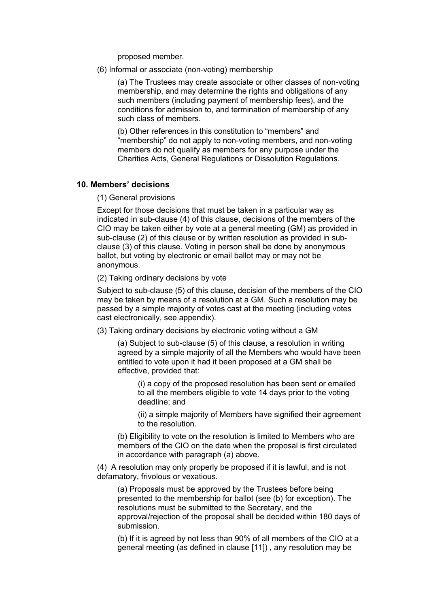proposed member.

(6) Informal or associate (non-voting) membership

(a) The Trustees may create associate or other classes of non-voting membership, and may determine the rights and obligations of any such members (including payment of membership fees), and the conditions for admission to, and termination of membership of any such class of members.

(b) Other references in this constitution to "members" and "membership" do not apply to non-voting members, and non-voting members do not qualify as members for any purpose under the Charities Acts, General Regulations or Dissolution Regulations.

### **10. Members' decisions**

(1) General provisions

Except for those decisions that must be taken in a particular way as indicated in sub-clause (4) of this clause, decisions of the members of the CIO may be taken either by vote at a general meeting (GM) as provided in sub-clause (2) of this clause or by written resolution as provided in subclause (3) of this clause. Voting in person shall be done by anonymous ballot, but voting by electronic or email ballot may or may not be anonymous.

(2) Taking ordinary decisions by vote

Subject to sub-clause (5) of this clause, decision of the members of the CIO may be taken by means of a resolution at a GM. Such a resolution may be passed by a simple majority of votes cast at the meeting (including votes cast electronically, see appendix).

(3) Taking ordinary decisions by electronic voting without a GM

(a) Subject to sub-clause (5) of this clause, a resolution in writing agreed by a simple majority of all the Members who would have been entitled to vote upon it had it been proposed at a GM shall be effective, provided that:

(i) a copy of the proposed resolution has been sent or emailed to all the members eligible to vote 14 days prior to the voting deadline; and

(ii) a simple majority of Members have signified their agreement to the resolution.

(b) Eligibility to vote on the resolution is limited to Members who are members of the CIO on the date when the proposal is first circulated in accordance with paragraph (a) above.

(4) A resolution may only properly be proposed if it is lawful, and is not defamatory, frivolous or vexatious.

(a) Proposals must be approved by the Trustees before being presented to the membership for ballot (see (b) for exception). The resolutions must be submitted to the Secretary, and the approval/rejection of the proposal shall be decided within 180 days of submission.

(b) If it is agreed by not less than 90% of all members of the CIO at a general meeting (as defined in clause [11]) , any resolution may be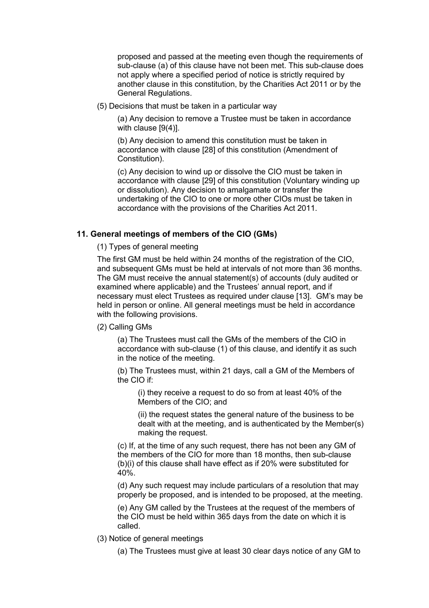proposed and passed at the meeting even though the requirements of sub-clause (a) of this clause have not been met. This sub-clause does not apply where a specified period of notice is strictly required by another clause in this constitution, by the Charities Act 2011 or by the General Regulations.

(5) Decisions that must be taken in a particular way

(a) Any decision to remove a Trustee must be taken in accordance with clause [9(4)].

(b) Any decision to amend this constitution must be taken in accordance with clause [28] of this constitution (Amendment of Constitution).

(c) Any decision to wind up or dissolve the CIO must be taken in accordance with clause [29] of this constitution (Voluntary winding up or dissolution). Any decision to amalgamate or transfer the undertaking of the CIO to one or more other CIOs must be taken in accordance with the provisions of the Charities Act 2011.

# **11. General meetings of members of the CIO (GMs)**

(1) Types of general meeting

The first GM must be held within 24 months of the registration of the CIO, and subsequent GMs must be held at intervals of not more than 36 months. The GM must receive the annual statement(s) of accounts (duly audited or examined where applicable) and the Trustees' annual report, and if necessary must elect Trustees as required under clause [13]. GM's may be held in person or online. All general meetings must be held in accordance with the following provisions.

## (2) Calling GMs

(a) The Trustees must call the GMs of the members of the CIO in accordance with sub-clause (1) of this clause, and identify it as such in the notice of the meeting.

(b) The Trustees must, within 21 days, call a GM of the Members of the CIO if:

(i) they receive a request to do so from at least 40% of the Members of the CIO; and

(ii) the request states the general nature of the business to be dealt with at the meeting, and is authenticated by the Member(s) making the request.

(c) If, at the time of any such request, there has not been any GM of the members of the CIO for more than 18 months, then sub-clause (b)(i) of this clause shall have effect as if 20% were substituted for 40%.

(d) Any such request may include particulars of a resolution that may properly be proposed, and is intended to be proposed, at the meeting.

(e) Any GM called by the Trustees at the request of the members of the CIO must be held within 365 days from the date on which it is called.

(3) Notice of general meetings

(a) The Trustees must give at least 30 clear days notice of any GM to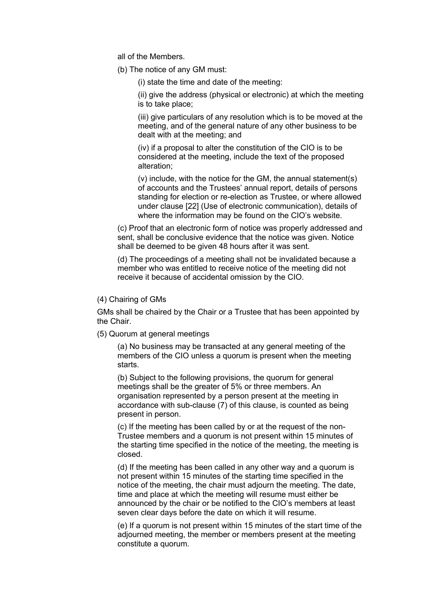all of the Members.

(b) The notice of any GM must:

(i) state the time and date of the meeting:

(ii) give the address (physical or electronic) at which the meeting is to take place;

(iii) give particulars of any resolution which is to be moved at the meeting, and of the general nature of any other business to be dealt with at the meeting; and

(iv) if a proposal to alter the constitution of the CIO is to be considered at the meeting, include the text of the proposed alteration;

(v) include, with the notice for the GM, the annual statement(s) of accounts and the Trustees' annual report, details of persons standing for election or re-election as Trustee, or where allowed under clause [22] (Use of electronic communication), details of where the information may be found on the CIO's website.

(c) Proof that an electronic form of notice was properly addressed and sent, shall be conclusive evidence that the notice was given. Notice shall be deemed to be given 48 hours after it was sent.

(d) The proceedings of a meeting shall not be invalidated because a member who was entitled to receive notice of the meeting did not receive it because of accidental omission by the CIO.

### (4) Chairing of GMs

GMs shall be chaired by the Chair or a Trustee that has been appointed by the Chair.

(5) Quorum at general meetings

(a) No business may be transacted at any general meeting of the members of the CIO unless a quorum is present when the meeting starts.

(b) Subject to the following provisions, the quorum for general meetings shall be the greater of 5% or three members. An organisation represented by a person present at the meeting in accordance with sub-clause (7) of this clause, is counted as being present in person.

(c) If the meeting has been called by or at the request of the non-Trustee members and a quorum is not present within 15 minutes of the starting time specified in the notice of the meeting, the meeting is closed.

(d) If the meeting has been called in any other way and a quorum is not present within 15 minutes of the starting time specified in the notice of the meeting, the chair must adjourn the meeting. The date, time and place at which the meeting will resume must either be announced by the chair or be notified to the CIO's members at least seven clear days before the date on which it will resume.

(e) If a quorum is not present within 15 minutes of the start time of the adjourned meeting, the member or members present at the meeting constitute a quorum.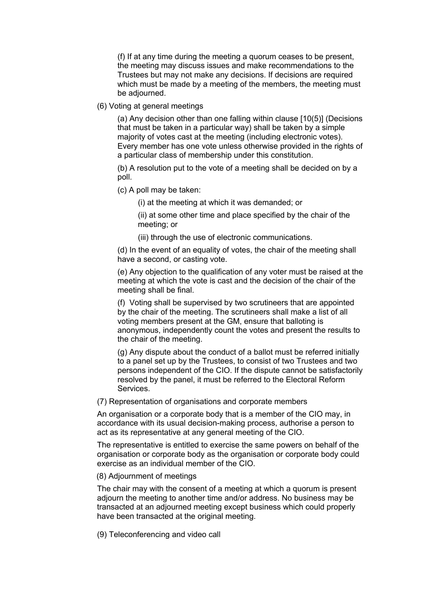(f) If at any time during the meeting a quorum ceases to be present, the meeting may discuss issues and make recommendations to the Trustees but may not make any decisions. If decisions are required which must be made by a meeting of the members, the meeting must be adjourned.

(6) Voting at general meetings

(a) Any decision other than one falling within clause [10(5)] (Decisions that must be taken in a particular way) shall be taken by a simple majority of votes cast at the meeting (including electronic votes). Every member has one vote unless otherwise provided in the rights of a particular class of membership under this constitution.

(b) A resolution put to the vote of a meeting shall be decided on by a poll.

(c) A poll may be taken:

(i) at the meeting at which it was demanded; or

(ii) at some other time and place specified by the chair of the meeting; or

(iii) through the use of electronic communications.

(d) In the event of an equality of votes, the chair of the meeting shall have a second, or casting vote.

(e) Any objection to the qualification of any voter must be raised at the meeting at which the vote is cast and the decision of the chair of the meeting shall be final.

(f) Voting shall be supervised by two scrutineers that are appointed by the chair of the meeting. The scrutineers shall make a list of all voting members present at the GM, ensure that balloting is anonymous, independently count the votes and present the results to the chair of the meeting.

(g) Any dispute about the conduct of a ballot must be referred initially to a panel set up by the Trustees, to consist of two Trustees and two persons independent of the CIO. If the dispute cannot be satisfactorily resolved by the panel, it must be referred to the Electoral Reform Services.

(7) Representation of organisations and corporate members

An organisation or a corporate body that is a member of the CIO may, in accordance with its usual decision-making process, authorise a person to act as its representative at any general meeting of the CIO.

The representative is entitled to exercise the same powers on behalf of the organisation or corporate body as the organisation or corporate body could exercise as an individual member of the CIO.

#### (8) Adjournment of meetings

The chair may with the consent of a meeting at which a quorum is present adjourn the meeting to another time and/or address. No business may be transacted at an adjourned meeting except business which could properly have been transacted at the original meeting.

(9) Teleconferencing and video call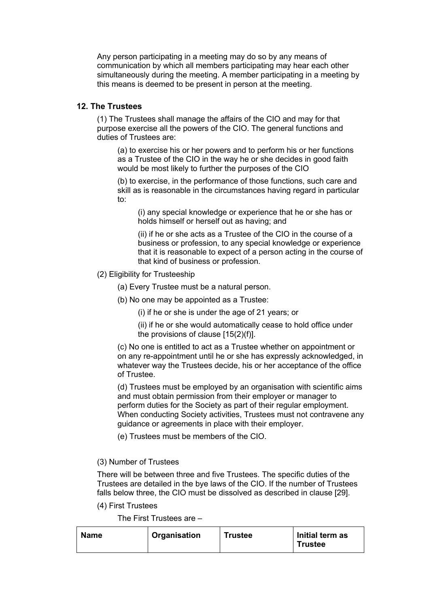Any person participating in a meeting may do so by any means of communication by which all members participating may hear each other simultaneously during the meeting. A member participating in a meeting by this means is deemed to be present in person at the meeting.

# **12. The Trustees**

(1) The Trustees shall manage the affairs of the CIO and may for that purpose exercise all the powers of the CIO. The general functions and duties of Trustees are:

(a) to exercise his or her powers and to perform his or her functions as a Trustee of the CIO in the way he or she decides in good faith would be most likely to further the purposes of the CIO

(b) to exercise, in the performance of those functions, such care and skill as is reasonable in the circumstances having regard in particular to:

(i) any special knowledge or experience that he or she has or holds himself or herself out as having; and

(ii) if he or she acts as a Trustee of the CIO in the course of a business or profession, to any special knowledge or experience that it is reasonable to expect of a person acting in the course of that kind of business or profession.

(2) Eligibility for Trusteeship

(a) Every Trustee must be a natural person.

(b) No one may be appointed as a Trustee:

(i) if he or she is under the age of 21 years; or

(ii) if he or she would automatically cease to hold office under the provisions of clause [15(2)(f)].

(c) No one is entitled to act as a Trustee whether on appointment or on any re-appointment until he or she has expressly acknowledged, in whatever way the Trustees decide, his or her acceptance of the office of Trustee.

(d) Trustees must be employed by an organisation with scientific aims and must obtain permission from their employer or manager to perform duties for the Society as part of their regular employment. When conducting Society activities, Trustees must not contravene any guidance or agreements in place with their employer.

(e) Trustees must be members of the CIO.

# (3) Number of Trustees

There will be between three and five Trustees. The specific duties of the Trustees are detailed in the bye laws of the CIO. If the number of Trustees falls below three, the CIO must be dissolved as described in clause [29].

(4) First Trustees

The First Trustees are –

| <b>Name</b> | Organisation | <b>Trustee</b> | Initial term as |
|-------------|--------------|----------------|-----------------|
|             |              |                | <b>Trustee</b>  |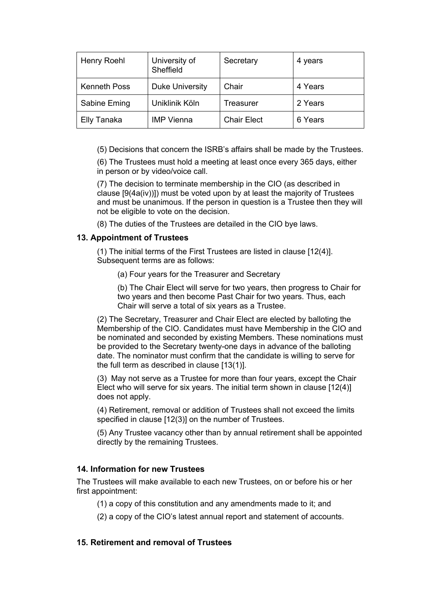| Henry Roehl         | University of<br>Sheffield | Secretary          | 4 years |
|---------------------|----------------------------|--------------------|---------|
| <b>Kenneth Poss</b> | <b>Duke University</b>     | Chair              | 4 Years |
| Sabine Eming        | Uniklinik Köln             | Treasurer          | 2 Years |
| Elly Tanaka         | <b>IMP Vienna</b>          | <b>Chair Elect</b> | 6 Years |

(5) Decisions that concern the ISRB's affairs shall be made by the Trustees.

(6) The Trustees must hold a meeting at least once every 365 days, either in person or by video/voice call.

(7) The decision to terminate membership in the CIO (as described in clause [9(4a(iv))]) must be voted upon by at least the majority of Trustees and must be unanimous. If the person in question is a Trustee then they will not be eligible to vote on the decision.

(8) The duties of the Trustees are detailed in the CIO bye laws.

# **13. Appointment of Trustees**

(1) The initial terms of the First Trustees are listed in clause [12(4)]. Subsequent terms are as follows:

(a) Four years for the Treasurer and Secretary

(b) The Chair Elect will serve for two years, then progress to Chair for two years and then become Past Chair for two years. Thus, each Chair will serve a total of six years as a Trustee.

(2) The Secretary, Treasurer and Chair Elect are elected by balloting the Membership of the CIO. Candidates must have Membership in the CIO and be nominated and seconded by existing Members. These nominations must be provided to the Secretary twenty-one days in advance of the balloting date. The nominator must confirm that the candidate is willing to serve for the full term as described in clause [13(1)].

(3) May not serve as a Trustee for more than four years, except the Chair Elect who will serve for six years. The initial term shown in clause [12(4)] does not apply.

(4) Retirement, removal or addition of Trustees shall not exceed the limits specified in clause [12(3)] on the number of Trustees.

(5) Any Trustee vacancy other than by annual retirement shall be appointed directly by the remaining Trustees.

# **14. Information for new Trustees**

The Trustees will make available to each new Trustees, on or before his or her first appointment:

(1) a copy of this constitution and any amendments made to it; and

(2) a copy of the CIO's latest annual report and statement of accounts.

# **15. Retirement and removal of Trustees**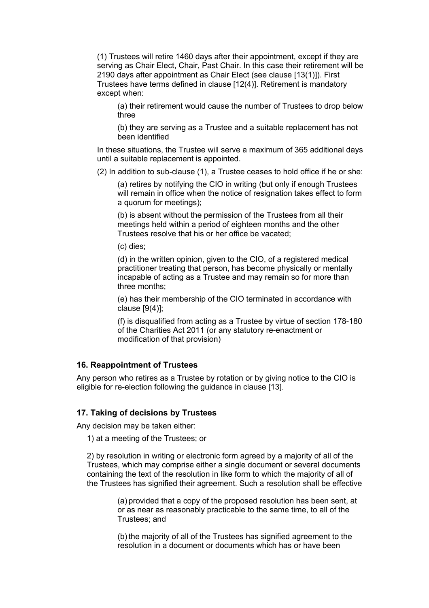(1) Trustees will retire 1460 days after their appointment, except if they are serving as Chair Elect, Chair, Past Chair. In this case their retirement will be 2190 days after appointment as Chair Elect (see clause [13(1)]). First Trustees have terms defined in clause [12(4)]. Retirement is mandatory except when:

(a) their retirement would cause the number of Trustees to drop below three

(b) they are serving as a Trustee and a suitable replacement has not been identified

In these situations, the Trustee will serve a maximum of 365 additional days until a suitable replacement is appointed.

(2) In addition to sub-clause (1), a Trustee ceases to hold office if he or she:

(a) retires by notifying the CIO in writing (but only if enough Trustees will remain in office when the notice of resignation takes effect to form a quorum for meetings);

(b) is absent without the permission of the Trustees from all their meetings held within a period of eighteen months and the other Trustees resolve that his or her office be vacated;

(c) dies;

(d) in the written opinion, given to the CIO, of a registered medical practitioner treating that person, has become physically or mentally incapable of acting as a Trustee and may remain so for more than three months;

(e) has their membership of the CIO terminated in accordance with clause [9(4)];

(f) is disqualified from acting as a Trustee by virtue of section 178-180 of the Charities Act 2011 (or any statutory re-enactment or modification of that provision)

### **16. Reappointment of Trustees**

Any person who retires as a Trustee by rotation or by giving notice to the CIO is eligible for re-election following the guidance in clause [13].

#### **17. Taking of decisions by Trustees**

Any decision may be taken either:

1) at a meeting of the Trustees; or

2) by resolution in writing or electronic form agreed by a majority of all of the Trustees, which may comprise either a single document or several documents containing the text of the resolution in like form to which the majority of all of the Trustees has signified their agreement. Such a resolution shall be effective

> (a) provided that a copy of the proposed resolution has been sent, at or as near as reasonably practicable to the same time, to all of the Trustees; and

(b) the majority of all of the Trustees has signified agreement to the resolution in a document or documents which has or have been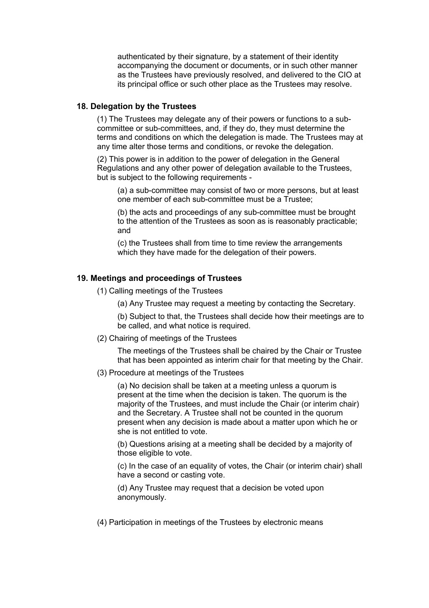authenticated by their signature, by a statement of their identity accompanying the document or documents, or in such other manner as the Trustees have previously resolved, and delivered to the CIO at its principal office or such other place as the Trustees may resolve.

# **18. Delegation by the Trustees**

(1) The Trustees may delegate any of their powers or functions to a subcommittee or sub-committees, and, if they do, they must determine the terms and conditions on which the delegation is made. The Trustees may at any time alter those terms and conditions, or revoke the delegation.

(2) This power is in addition to the power of delegation in the General Regulations and any other power of delegation available to the Trustees, but is subject to the following requirements -

(a) a sub-committee may consist of two or more persons, but at least one member of each sub-committee must be a Trustee;

(b) the acts and proceedings of any sub-committee must be brought to the attention of the Trustees as soon as is reasonably practicable; and

(c) the Trustees shall from time to time review the arrangements which they have made for the delegation of their powers.

### **19. Meetings and proceedings of Trustees**

- (1) Calling meetings of the Trustees
	- (a) Any Trustee may request a meeting by contacting the Secretary.

(b) Subject to that, the Trustees shall decide how their meetings are to be called, and what notice is required.

(2) Chairing of meetings of the Trustees

The meetings of the Trustees shall be chaired by the Chair or Trustee that has been appointed as interim chair for that meeting by the Chair.

(3) Procedure at meetings of the Trustees

(a) No decision shall be taken at a meeting unless a quorum is present at the time when the decision is taken. The quorum is the majority of the Trustees, and must include the Chair (or interim chair) and the Secretary. A Trustee shall not be counted in the quorum present when any decision is made about a matter upon which he or she is not entitled to vote.

(b) Questions arising at a meeting shall be decided by a majority of those eligible to vote.

(c) In the case of an equality of votes, the Chair (or interim chair) shall have a second or casting vote.

(d) Any Trustee may request that a decision be voted upon anonymously.

(4) Participation in meetings of the Trustees by electronic means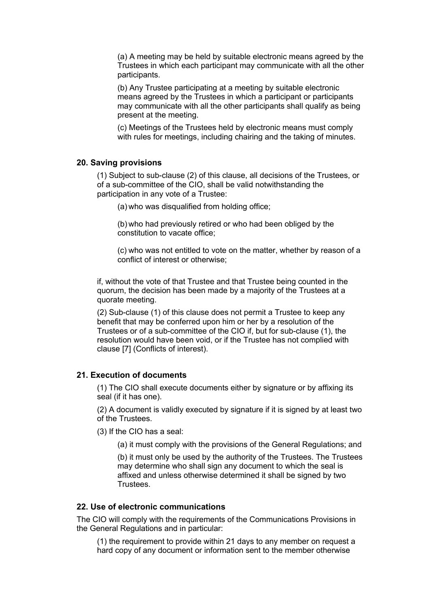(a) A meeting may be held by suitable electronic means agreed by the Trustees in which each participant may communicate with all the other participants.

(b) Any Trustee participating at a meeting by suitable electronic means agreed by the Trustees in which a participant or participants may communicate with all the other participants shall qualify as being present at the meeting.

(c) Meetings of the Trustees held by electronic means must comply with rules for meetings, including chairing and the taking of minutes.

### **20. Saving provisions**

(1) Subject to sub-clause (2) of this clause, all decisions of the Trustees, or of a sub-committee of the CIO, shall be valid notwithstanding the participation in any vote of a Trustee:

(a) who was disqualified from holding office;

(b) who had previously retired or who had been obliged by the constitution to vacate office;

(c) who was not entitled to vote on the matter, whether by reason of a conflict of interest or otherwise;

if, without the vote of that Trustee and that Trustee being counted in the quorum, the decision has been made by a majority of the Trustees at a quorate meeting.

(2) Sub-clause (1) of this clause does not permit a Trustee to keep any benefit that may be conferred upon him or her by a resolution of the Trustees or of a sub-committee of the CIO if, but for sub-clause (1), the resolution would have been void, or if the Trustee has not complied with clause [7] (Conflicts of interest).

### **21. Execution of documents**

(1) The CIO shall execute documents either by signature or by affixing its seal (if it has one).

(2) A document is validly executed by signature if it is signed by at least two of the Trustees.

(3) If the CIO has a seal:

(a) it must comply with the provisions of the General Regulations; and

(b) it must only be used by the authority of the Trustees. The Trustees may determine who shall sign any document to which the seal is affixed and unless otherwise determined it shall be signed by two Trustees.

### **22. Use of electronic communications**

The CIO will comply with the requirements of the Communications Provisions in the General Regulations and in particular:

(1) the requirement to provide within 21 days to any member on request a hard copy of any document or information sent to the member otherwise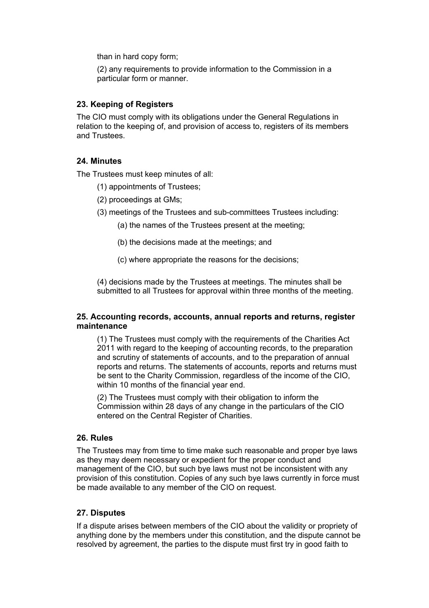than in hard copy form;

(2) any requirements to provide information to the Commission in a particular form or manner.

# **23. Keeping of Registers**

The CIO must comply with its obligations under the General Regulations in relation to the keeping of, and provision of access to, registers of its members and Trustees.

# **24. Minutes**

The Trustees must keep minutes of all:

- (1) appointments of Trustees;
- (2) proceedings at GMs;
- (3) meetings of the Trustees and sub-committees Trustees including:
	- (a) the names of the Trustees present at the meeting;
	- (b) the decisions made at the meetings; and
	- (c) where appropriate the reasons for the decisions;

(4) decisions made by the Trustees at meetings. The minutes shall be submitted to all Trustees for approval within three months of the meeting.

### **25. Accounting records, accounts, annual reports and returns, register maintenance**

(1) The Trustees must comply with the requirements of the Charities Act 2011 with regard to the keeping of accounting records, to the preparation and scrutiny of statements of accounts, and to the preparation of annual reports and returns. The statements of accounts, reports and returns must be sent to the Charity Commission, regardless of the income of the CIO, within 10 months of the financial year end.

(2) The Trustees must comply with their obligation to inform the Commission within 28 days of any change in the particulars of the CIO entered on the Central Register of Charities.

# **26. Rules**

The Trustees may from time to time make such reasonable and proper bye laws as they may deem necessary or expedient for the proper conduct and management of the CIO, but such bye laws must not be inconsistent with any provision of this constitution. Copies of any such bye laws currently in force must be made available to any member of the CIO on request.

# **27. Disputes**

If a dispute arises between members of the CIO about the validity or propriety of anything done by the members under this constitution, and the dispute cannot be resolved by agreement, the parties to the dispute must first try in good faith to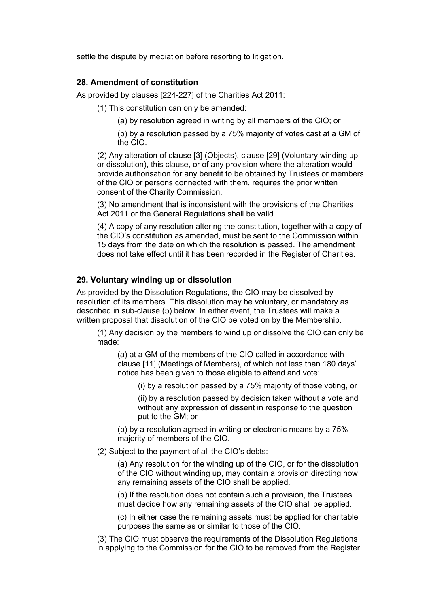settle the dispute by mediation before resorting to litigation.

## **28. Amendment of constitution**

As provided by clauses [224-227] of the Charities Act 2011:

(1) This constitution can only be amended:

(a) by resolution agreed in writing by all members of the CIO; or

(b) by a resolution passed by a 75% majority of votes cast at a GM of the CIO.

(2) Any alteration of clause [3] (Objects), clause [29] (Voluntary winding up or dissolution), this clause, or of any provision where the alteration would provide authorisation for any benefit to be obtained by Trustees or members of the CIO or persons connected with them, requires the prior written consent of the Charity Commission.

(3) No amendment that is inconsistent with the provisions of the Charities Act 2011 or the General Regulations shall be valid.

(4) A copy of any resolution altering the constitution, together with a copy of the CIO's constitution as amended, must be sent to the Commission within 15 days from the date on which the resolution is passed. The amendment does not take effect until it has been recorded in the Register of Charities.

### **29. Voluntary winding up or dissolution**

As provided by the Dissolution Regulations, the CIO may be dissolved by resolution of its members. This dissolution may be voluntary, or mandatory as described in sub-clause (5) below. In either event, the Trustees will make a written proposal that dissolution of the CIO be voted on by the Membership.

(1) Any decision by the members to wind up or dissolve the CIO can only be made:

(a) at a GM of the members of the CIO called in accordance with clause [11] (Meetings of Members), of which not less than 180 days' notice has been given to those eligible to attend and vote:

(i) by a resolution passed by a 75% majority of those voting, or

(ii) by a resolution passed by decision taken without a vote and without any expression of dissent in response to the question put to the GM; or

(b) by a resolution agreed in writing or electronic means by a 75% majority of members of the CIO.

(2) Subject to the payment of all the CIO's debts:

(a) Any resolution for the winding up of the CIO, or for the dissolution of the CIO without winding up, may contain a provision directing how any remaining assets of the CIO shall be applied.

(b) If the resolution does not contain such a provision, the Trustees must decide how any remaining assets of the CIO shall be applied.

(c) In either case the remaining assets must be applied for charitable purposes the same as or similar to those of the CIO.

(3) The CIO must observe the requirements of the Dissolution Regulations in applying to the Commission for the CIO to be removed from the Register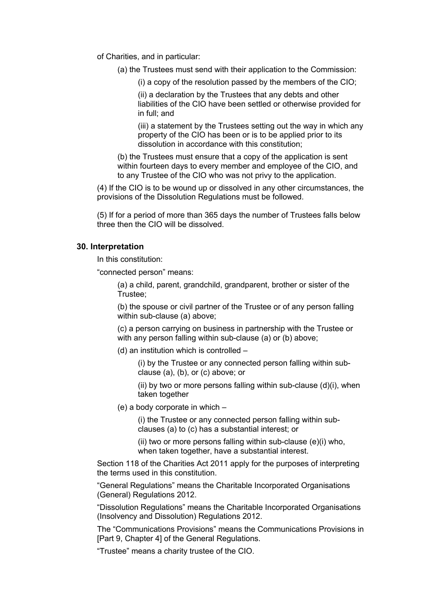of Charities, and in particular:

(a) the Trustees must send with their application to the Commission:

(i) a copy of the resolution passed by the members of the CIO;

(ii) a declaration by the Trustees that any debts and other liabilities of the CIO have been settled or otherwise provided for in full; and

(iii) a statement by the Trustees setting out the way in which any property of the CIO has been or is to be applied prior to its dissolution in accordance with this constitution;

(b) the Trustees must ensure that a copy of the application is sent within fourteen days to every member and employee of the CIO, and to any Trustee of the CIO who was not privy to the application.

(4) If the CIO is to be wound up or dissolved in any other circumstances, the provisions of the Dissolution Regulations must be followed.

(5) If for a period of more than 365 days the number of Trustees falls below three then the CIO will be dissolved.

### **30. Interpretation**

In this constitution:

"connected person" means:

(a) a child, parent, grandchild, grandparent, brother or sister of the Trustee;

(b) the spouse or civil partner of the Trustee or of any person falling within sub-clause (a) above;

(c) a person carrying on business in partnership with the Trustee or with any person falling within sub-clause (a) or (b) above:

(d) an institution which is controlled –

(i) by the Trustee or any connected person falling within subclause (a), (b), or (c) above; or

(ii) by two or more persons falling within sub-clause  $(d)(i)$ , when taken together

(e) a body corporate in which –

(i) the Trustee or any connected person falling within subclauses (a) to (c) has a substantial interest; or

(ii) two or more persons falling within sub-clause (e)(i) who, when taken together, have a substantial interest.

Section 118 of the Charities Act 2011 apply for the purposes of interpreting the terms used in this constitution.

"General Regulations" means the Charitable Incorporated Organisations (General) Regulations 2012.

"Dissolution Regulations" means the Charitable Incorporated Organisations (Insolvency and Dissolution) Regulations 2012.

The "Communications Provisions" means the Communications Provisions in [Part 9, Chapter 4] of the General Regulations.

"Trustee" means a charity trustee of the CIO.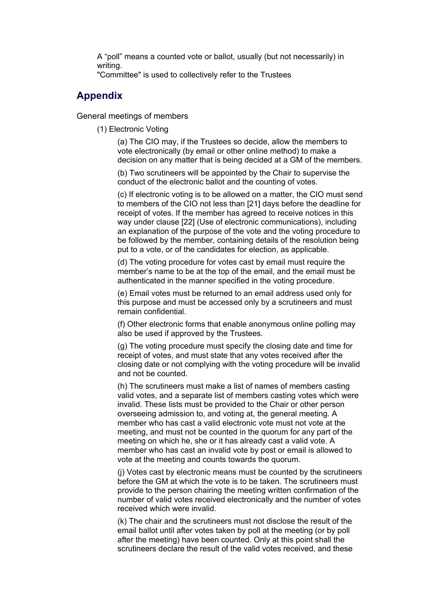A "poll" means a counted vote or ballot, usually (but not necessarily) in writing.

"Committee" is used to collectively refer to the Trustees

# **Appendix**

General meetings of members

(1) Electronic Voting

(a) The CIO may, if the Trustees so decide, allow the members to vote electronically (by email or other online method) to make a decision on any matter that is being decided at a GM of the members.

(b) Two scrutineers will be appointed by the Chair to supervise the conduct of the electronic ballot and the counting of votes.

(c) If electronic voting is to be allowed on a matter, the CIO must send to members of the CIO not less than [21] days before the deadline for receipt of votes. If the member has agreed to receive notices in this way under clause [22] (Use of electronic communications), including an explanation of the purpose of the vote and the voting procedure to be followed by the member, containing details of the resolution being put to a vote, or of the candidates for election, as applicable.

(d) The voting procedure for votes cast by email must require the member's name to be at the top of the email, and the email must be authenticated in the manner specified in the voting procedure.

(e) Email votes must be returned to an email address used only for this purpose and must be accessed only by a scrutineers and must remain confidential.

(f) Other electronic forms that enable anonymous online polling may also be used if approved by the Trustees.

(g) The voting procedure must specify the closing date and time for receipt of votes, and must state that any votes received after the closing date or not complying with the voting procedure will be invalid and not be counted.

(h) The scrutineers must make a list of names of members casting valid votes, and a separate list of members casting votes which were invalid. These lists must be provided to the Chair or other person overseeing admission to, and voting at, the general meeting. A member who has cast a valid electronic vote must not vote at the meeting, and must not be counted in the quorum for any part of the meeting on which he, she or it has already cast a valid vote. A member who has cast an invalid vote by post or email is allowed to vote at the meeting and counts towards the quorum.

(j) Votes cast by electronic means must be counted by the scrutineers before the GM at which the vote is to be taken. The scrutineers must provide to the person chairing the meeting written confirmation of the number of valid votes received electronically and the number of votes received which were invalid.

(k) The chair and the scrutineers must not disclose the result of the email ballot until after votes taken by poll at the meeting (or by poll after the meeting) have been counted. Only at this point shall the scrutineers declare the result of the valid votes received, and these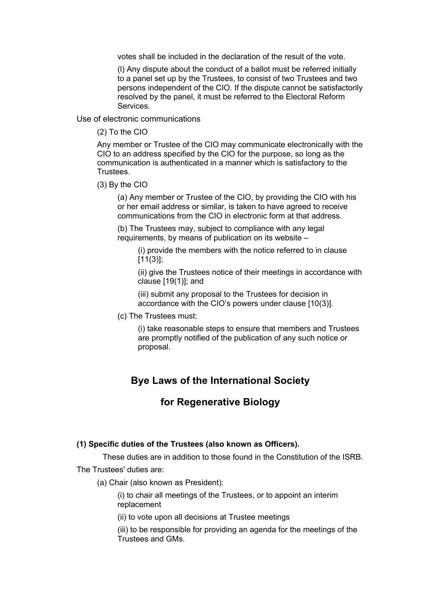votes shall be included in the declaration of the result of the vote.

(l) Any dispute about the conduct of a ballot must be referred initially to a panel set up by the Trustees, to consist of two Trustees and two persons independent of the CIO. If the dispute cannot be satisfactorily resolved by the panel, it must be referred to the Electoral Reform Services.

Use of electronic communications

(2) To the CIO

Any member or Trustee of the CIO may communicate electronically with the CIO to an address specified by the CIO for the purpose, so long as the communication is authenticated in a manner which is satisfactory to the Trustees.

(3) By the CIO

(a) Any member or Trustee of the CIO, by providing the CIO with his or her email address or similar, is taken to have agreed to receive communications from the CIO in electronic form at that address.

(b) The Trustees may, subject to compliance with any legal requirements, by means of publication on its website –

(i) provide the members with the notice referred to in clause  $[11(3)]$ ;

(ii) give the Trustees notice of their meetings in accordance with clause [19(1)]; and

(iii) submit any proposal to the Trustees for decision in accordance with the CIO's powers under clause [10(3)].

(c) The Trustees must:

(i) take reasonable steps to ensure that members and Trustees are promptly notified of the publication of any such notice or proposal.

# **Bye Laws of the International Society**

# **for Regenerative Biology**

### **(1) Specific duties of the Trustees (also known as Officers).**

These duties are in addition to those found in the Constitution of the ISRB.

The Trustees' duties are:

(a) Chair (also known as President):

(i) to chair all meetings of the Trustees, or to appoint an interim replacement

(ii) to vote upon all decisions at Trustee meetings

(iii) to be responsible for providing an agenda for the meetings of the Trustees and GMs.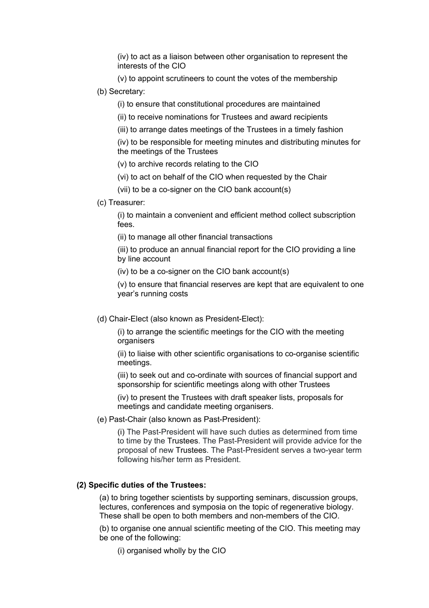(iv) to act as a liaison between other organisation to represent the interests of the CIO

(v) to appoint scrutineers to count the votes of the membership

# (b) Secretary:

(i) to ensure that constitutional procedures are maintained

(ii) to receive nominations for Trustees and award recipients

(iii) to arrange dates meetings of the Trustees in a timely fashion

(iv) to be responsible for meeting minutes and distributing minutes for the meetings of the Trustees

(v) to archive records relating to the CIO

(vi) to act on behalf of the CIO when requested by the Chair

(vii) to be a co-signer on the CIO bank account(s)

(c) Treasurer:

(i) to maintain a convenient and efficient method collect subscription fees.

(ii) to manage all other financial transactions

(iii) to produce an annual financial report for the CIO providing a line by line account

(iv) to be a co-signer on the CIO bank account(s)

(v) to ensure that financial reserves are kept that are equivalent to one year's running costs

(d) Chair-Elect (also known as President-Elect):

(i) to arrange the scientific meetings for the CIO with the meeting organisers

(ii) to liaise with other scientific organisations to co-organise scientific meetings.

(iii) to seek out and co-ordinate with sources of financial support and sponsorship for scientific meetings along with other Trustees

(iv) to present the Trustees with draft speaker lists, proposals for meetings and candidate meeting organisers.

(e) Past-Chair (also known as Past-President):

(i) The Past-President will have such duties as determined from time to time by the Trustees. The Past-President will provide advice for the proposal of new Trustees. The Past-President serves a two-year term following his/her term as President.

# **(2) Specific duties of the Trustees:**

(a) to bring together scientists by supporting seminars, discussion groups, lectures, conferences and symposia on the topic of regenerative biology. These shall be open to both members and non-members of the CIO.

(b) to organise one annual scientific meeting of the CIO. This meeting may be one of the following:

(i) organised wholly by the CIO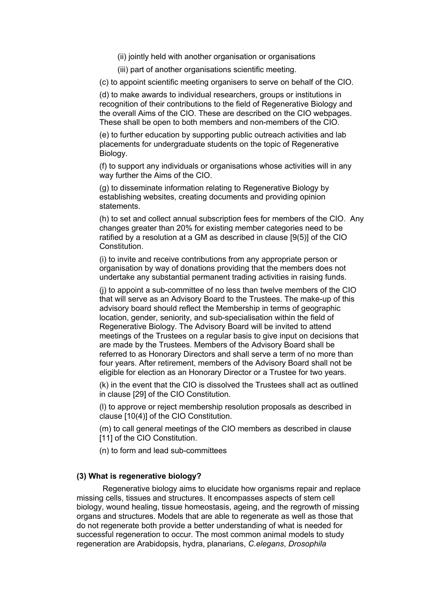(ii) jointly held with another organisation or organisations

(iii) part of another organisations scientific meeting.

(c) to appoint scientific meeting organisers to serve on behalf of the CIO.

(d) to make awards to individual researchers, groups or institutions in recognition of their contributions to the field of Regenerative Biology and the overall Aims of the CIO. These are described on the CIO webpages. These shall be open to both members and non-members of the CIO.

(e) to further education by supporting public outreach activities and lab placements for undergraduate students on the topic of Regenerative Biology.

(f) to support any individuals or organisations whose activities will in any way further the Aims of the CIO.

(g) to disseminate information relating to Regenerative Biology by establishing websites, creating documents and providing opinion statements.

(h) to set and collect annual subscription fees for members of the CIO. Any changes greater than 20% for existing member categories need to be ratified by a resolution at a GM as described in clause [9(5)] of the CIO Constitution.

(i) to invite and receive contributions from any appropriate person or organisation by way of donations providing that the members does not undertake any substantial permanent trading activities in raising funds.

(j) to appoint a sub-committee of no less than twelve members of the CIO that will serve as an Advisory Board to the Trustees. The make-up of this advisory board should reflect the Membership in terms of geographic location, gender, seniority, and sub-specialisation within the field of Regenerative Biology. The Advisory Board will be invited to attend meetings of the Trustees on a regular basis to give input on decisions that are made by the Trustees. Members of the Advisory Board shall be referred to as Honorary Directors and shall serve a term of no more than four years. After retirement, members of the Advisory Board shall not be eligible for election as an Honorary Director or a Trustee for two years.

(k) in the event that the CIO is dissolved the Trustees shall act as outlined in clause [29] of the CIO Constitution.

(l) to approve or reject membership resolution proposals as described in clause [10(4)] of the CIO Constitution.

(m) to call general meetings of the CIO members as described in clause [11] of the CIO Constitution.

(n) to form and lead sub-committees

#### **(3) What is regenerative biology?**

Regenerative biology aims to elucidate how organisms repair and replace missing cells, tissues and structures. It encompasses aspects of stem cell biology, wound healing, tissue homeostasis, ageing, and the regrowth of missing organs and structures. Models that are able to regenerate as well as those that do not regenerate both provide a better understanding of what is needed for successful regeneration to occur. The most common animal models to study regeneration are Arabidopsis, hydra, planarians, *C.elegans*, *Drosophila*